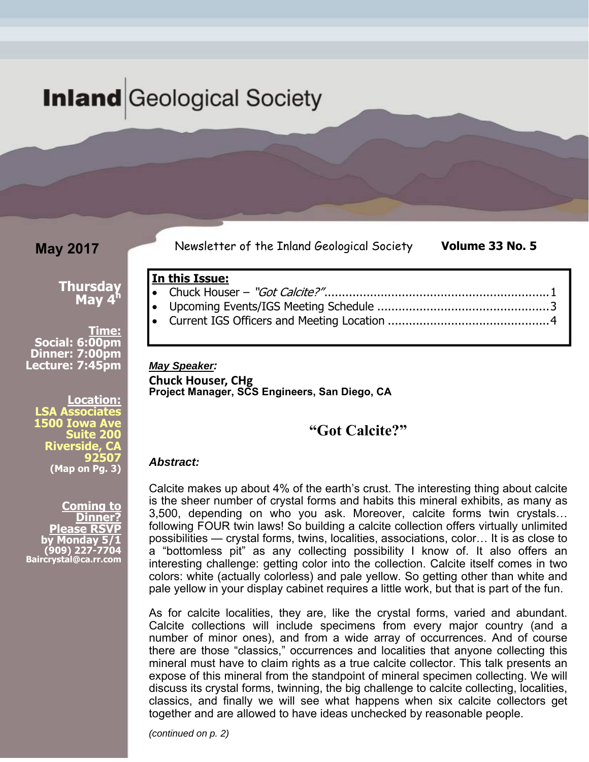# **Inland** Geological Society

**In this Issue:** 

**May 2017** 

Newsletter of the Inland Geological Society **Volume 33 No. 5** 

**Thursday May 4h** 

**Time: Social: 6:00pm Dinner: 7:00pm Lecture: 7:45pm** 

**Location: LSA Associates 1500 Iowa Ave Suite 200 Riverside, C 92507 (Map on Pg. 3)** 

**Coming to Dinner? Please RSVP fonday (909) 227-7704 Baircrystal@ca.rr.com**

| <b>May Speaker:</b> |  |
|---------------------|--|

**Chuck Houser, CHg Project Manager, SCS Engineers, San Diego, CA** 

# **"Got Calcite?"**

Chuck Houser – "Got Calcite?" ................................................................ 1

### *Abstract:*

Calcite makes up about 4% of the earth's crust. The interesting thing about calcite is the sheer number of crystal forms and habits this mineral exhibits, as many as 3,500, depending on who you ask. Moreover, calcite forms twin crystals… following FOUR twin laws! So building a calcite collection offers virtually unlimited possibilities — crystal forms, twins, localities, associations, color… It is as close to a "bottomless pit" as any collecting possibility I know of. It also offers an interesting challenge: getting color into the collection. Calcite itself comes in two colors: white (actually colorless) and pale yellow. So getting other than white and pale yellow in your display cabinet requires a little work, but that is part of the fun.

As for calcite localities, they are, like the crystal forms, varied and abundant. Calcite collections will include specimens from every major country (and a number of minor ones), and from a wide array of occurrences. And of course there are those "classics," occurrences and localities that anyone collecting this mineral must have to claim rights as a true calcite collector. This talk presents an expose of this mineral from the standpoint of mineral specimen collecting. We will discuss its crystal forms, twinning, the big challenge to calcite collecting, localities, classics, and finally we will see what happens when six calcite collectors get together and are allowed to have ideas unchecked by reasonable people.

*(continued on p. 2)*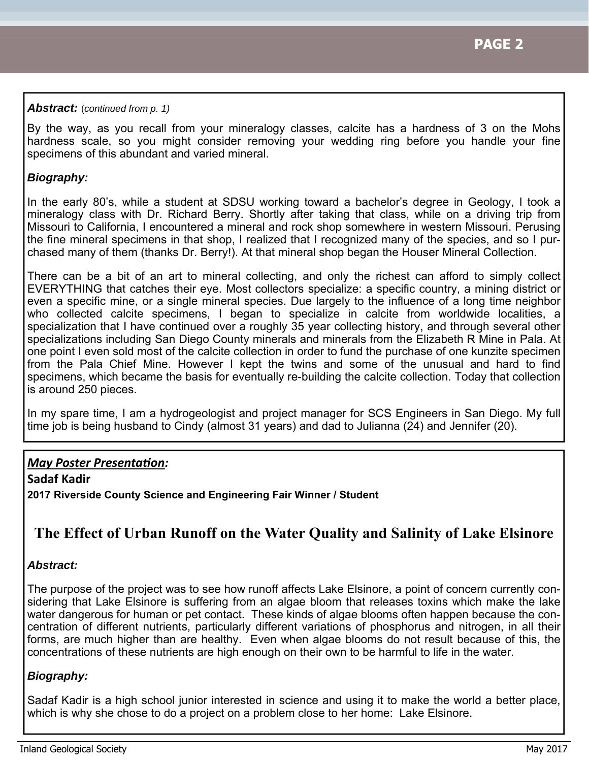### *Abstract:* (*continued from p. 1)*

By the way, as you recall from your mineralogy classes, calcite has a hardness of 3 on the Mohs hardness scale, so you might consider removing your wedding ring before you handle your fine specimens of this abundant and varied mineral.

## *Biography:*

In the early 80's, while a student at SDSU working toward a bachelor's degree in Geology, I took a mineralogy class with Dr. Richard Berry. Shortly after taking that class, while on a driving trip from Missouri to California, I encountered a mineral and rock shop somewhere in western Missouri. Perusing the fine mineral specimens in that shop, I realized that I recognized many of the species, and so I purchased many of them (thanks Dr. Berry!). At that mineral shop began the Houser Mineral Collection.

There can be a bit of an art to mineral collecting, and only the richest can afford to simply collect EVERYTHING that catches their eye. Most collectors specialize: a specific country, a mining district or even a specific mine, or a single mineral species. Due largely to the influence of a long time neighbor who collected calcite specimens, I began to specialize in calcite from worldwide localities, a specialization that I have continued over a roughly 35 year collecting history, and through several other specializations including San Diego County minerals and minerals from the Elizabeth R Mine in Pala. At one point I even sold most of the calcite collection in order to fund the purchase of one kunzite specimen from the Pala Chief Mine. However I kept the twins and some of the unusual and hard to find specimens, which became the basis for eventually re-building the calcite collection. Today that collection is around 250 pieces.

In my spare time, I am a hydrogeologist and project manager for SCS Engineers in San Diego. My full time job is being husband to Cindy (almost 31 years) and dad to Julianna (24) and Jennifer (20).

# *May Poster PresentaƟon:*

**Sadaf Kadir 2017 Riverside County Science and Engineering Fair Winner / Student** 

# **The Effect of Urban Runoff on the Water Quality and Salinity of Lake Elsinore**

### *Abstract:*

The purpose of the project was to see how runoff affects Lake Elsinore, a point of concern currently considering that Lake Elsinore is suffering from an algae bloom that releases toxins which make the lake water dangerous for human or pet contact. These kinds of algae blooms often happen because the concentration of different nutrients, particularly different variations of phosphorus and nitrogen, in all their forms, are much higher than are healthy. Even when algae blooms do not result because of this, the concentrations of these nutrients are high enough on their own to be harmful to life in the water.

### *Biography:*

Sadaf Kadir is a high school junior interested in science and using it to make the world a better place, which is why she chose to do a project on a problem close to her home: Lake Elsinore.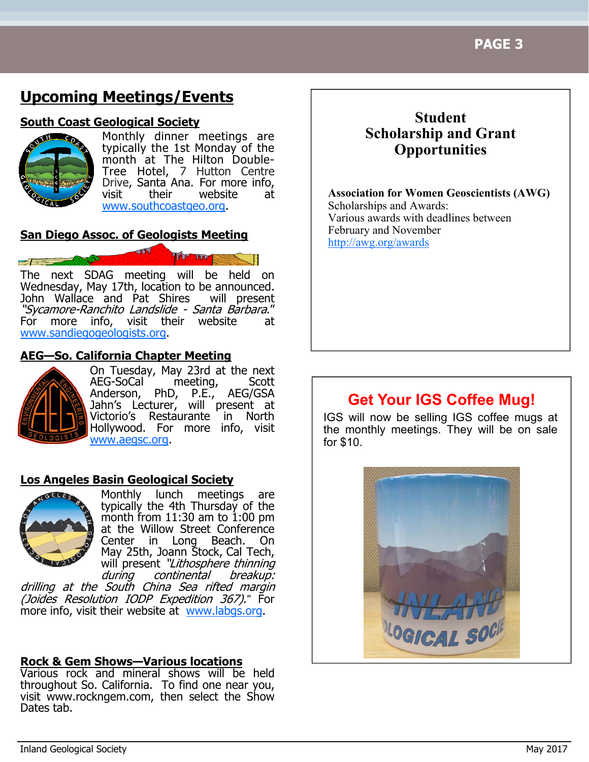# **Upcoming Meetings/Events**

## **South Coast Geological Society**



Monthly dinner meetings are typically the 1st Monday of the month at The Hilton Double-Tree Hotel, 7 Hutton Centre Drive, Santa Ana. For more info. visit their website at www.southcoastgeo.org.

# **San Diego Assoc. of Geologists Meeting**

The next SDAG meeting will be held on Wednesday, May 17th, location to be announced. John Wallace and Pat Shires will present "Sycamore-Ranchito Landslide - Santa Barbara."<br>For more info, visit their website at more info, visit their website at www.sandiegogeologists.org.

# **AEG—So. California Chapter Meeting**



On Tuesday, May 23rd at the next AEG-SoCal meeting, Scott Anderson, PhD, P.E., AEG/GSA Jahn's Lecturer, will present at Victorio's Restaurante in North Hollywood. For more info, visit www.aegsc.org.

# **Los Angeles Basin Geological Society**



Monthly lunch meetings are typically the 4th Thursday of the month from  $11:30$  am to  $1:00$  pm at the Willow Street Conference Center in Long Beach. On May 25th, Joann Stock, Cal Tech, will present "Lithosphere thinning<br>during continental breakup: continental breakup:

drilling at the South China Sea rifted margin (Joides Resolution IODP Expedition 367).*"* For more info, visit their website at www.labgs.org.

# **Rock & Gem Shows—Various locations**

Various rock and mineral shows will be held throughout So. California. To find one near you, visit www.rockngem.com, then select the Show Dates tab.

# **Student Scholarship and Grant Opportunities**

**Association for Women Geoscientists (AWG)** Scholarships and Awards: Various awards with deadlines between February and November http://awg.org/awards

# **Get Your IGS Coffee Mug!**

IGS will now be selling IGS coffee mugs at the monthly meetings. They will be on sale for \$10.